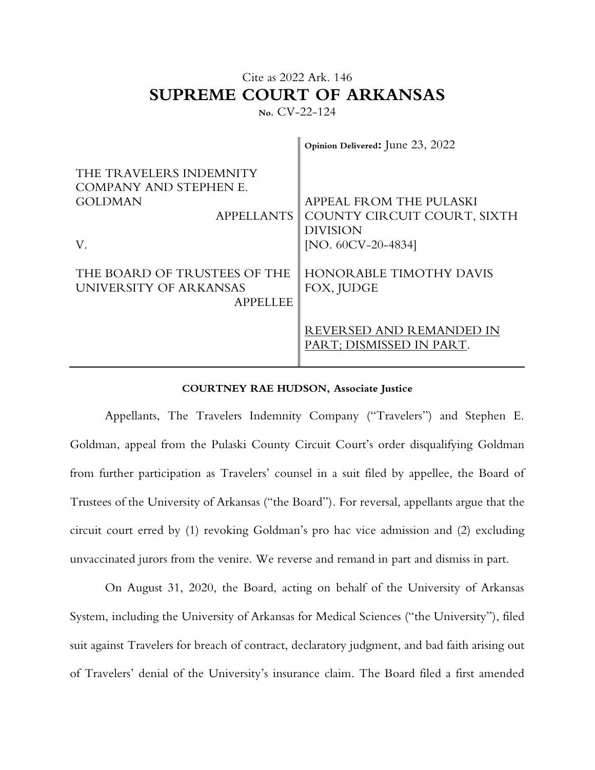## Cite as 2022 Ark. 146 **SUPREME COURT OF ARKANSAS**

**No.** CV-22-124

 $\hat{\mathbf{u}}$ 

|                                                                           | Opinion Delivered: June 23, 2022                                                                              |
|---------------------------------------------------------------------------|---------------------------------------------------------------------------------------------------------------|
| THE TRAVELERS INDEMNITY<br>COMPANY AND STEPHEN E.<br><b>GOLDMAN</b><br>V. | APPEAL FROM THE PULASKI<br>APPELLANTS COUNTY CIRCUIT COURT, SIXTH<br><b>DIVISION</b><br>[NO. $60CV-20-4834$ ] |
| THE BOARD OF TRUSTEES OF THE<br>UNIVERSITY OF ARKANSAS<br><b>APPELLEE</b> | <b>HONOR ABLE TIMOTHY DAVIS</b><br>FOX, JUDGE                                                                 |
|                                                                           | REVERSED AND REMANDED IN<br>PART; DISMISSED IN PART.                                                          |

## **COURTNEY RAE HUDSON, Associate Justice**

Appellants, The Travelers Indemnity Company ("Travelers") and Stephen E. Goldman, appeal from the Pulaski County Circuit Court's order disqualifying Goldman from further participation as Travelers' counsel in a suit filed by appellee, the Board of Trustees of the University of Arkansas ("the Board"). For reversal, appellants argue that the circuit court erred by (1) revoking Goldman's pro hac vice admission and (2) excluding unvaccinated jurors from the venire. We reverse and remand in part and dismiss in part.

On August 31, 2020, the Board, acting on behalf of the University of Arkansas System, including the University of Arkansas for Medical Sciences ("the University"), filed suit against Travelers for breach of contract, declaratory judgment, and bad faith arising out of Travelers' denial of the University's insurance claim. The Board filed a first amended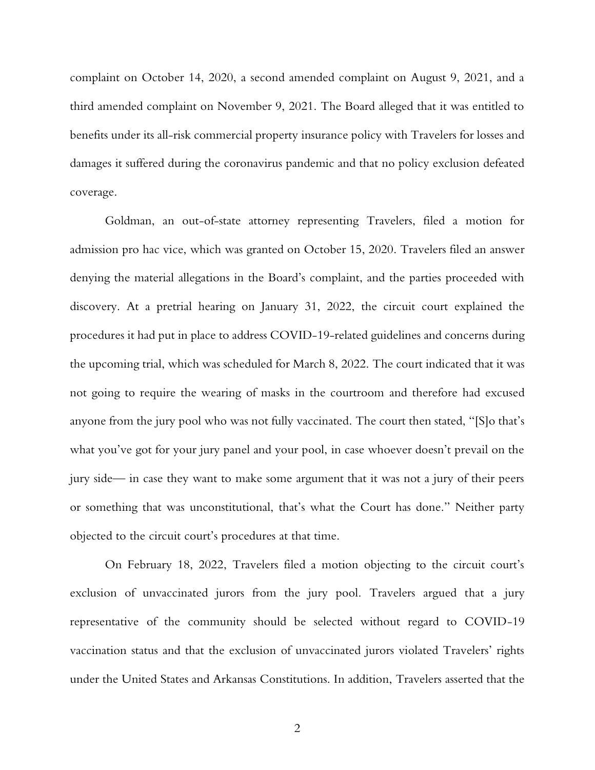complaint on October 14, 2020, a second amended complaint on August 9, 2021, and a third amended complaint on November 9, 2021. The Board alleged that it was entitled to benefits under its all-risk commercial property insurance policy with Travelers for losses and damages it suffered during the coronavirus pandemic and that no policy exclusion defeated coverage.

Goldman, an out-of-state attorney representing Travelers, filed a motion for admission pro hac vice, which was granted on October 15, 2020. Travelers filed an answer denying the material allegations in the Board's complaint, and the parties proceeded with discovery. At a pretrial hearing on January 31, 2022, the circuit court explained the procedures it had put in place to address COVID-19-related guidelines and concerns during the upcoming trial, which was scheduled for March 8, 2022. The court indicated that it was not going to require the wearing of masks in the courtroom and therefore had excused anyone from the jury pool who was not fully vaccinated. The court then stated, "[S]o that's what you've got for your jury panel and your pool, in case whoever doesn't prevail on the jury side— in case they want to make some argument that it was not a jury of their peers or something that was unconstitutional, that's what the Court has done." Neither party objected to the circuit court's procedures at that time.

On February 18, 2022, Travelers filed a motion objecting to the circuit court's exclusion of unvaccinated jurors from the jury pool. Travelers argued that a jury representative of the community should be selected without regard to COVID-19 vaccination status and that the exclusion of unvaccinated jurors violated Travelers' rights under the United States and Arkansas Constitutions. In addition, Travelers asserted that the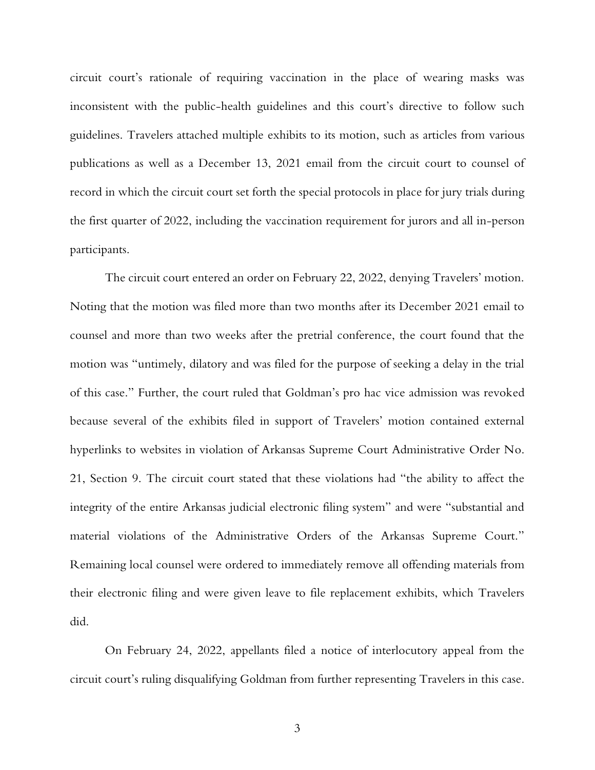circuit court's rationale of requiring vaccination in the place of wearing masks was inconsistent with the public-health guidelines and this court's directive to follow such guidelines. Travelers attached multiple exhibits to its motion, such as articles from various publications as well as a December 13, 2021 email from the circuit court to counsel of record in which the circuit court set forth the special protocols in place for jury trials during the first quarter of 2022, including the vaccination requirement for jurors and all in-person participants.

The circuit court entered an order on February 22, 2022, denying Travelers' motion. Noting that the motion was filed more than two months after its December 2021 email to counsel and more than two weeks after the pretrial conference, the court found that the motion was "untimely, dilatory and was filed for the purpose of seeking a delay in the trial of this case." Further, the court ruled that Goldman's pro hac vice admission was revoked because several of the exhibits filed in support of Travelers' motion contained external hyperlinks to websites in violation of Arkansas Supreme Court Administrative Order No. 21, Section 9. The circuit court stated that these violations had "the ability to affect the integrity of the entire Arkansas judicial electronic filing system" and were "substantial and material violations of the Administrative Orders of the Arkansas Supreme Court." Remaining local counsel were ordered to immediately remove all offending materials from their electronic filing and were given leave to file replacement exhibits, which Travelers did.

On February 24, 2022, appellants filed a notice of interlocutory appeal from the circuit court's ruling disqualifying Goldman from further representing Travelers in this case.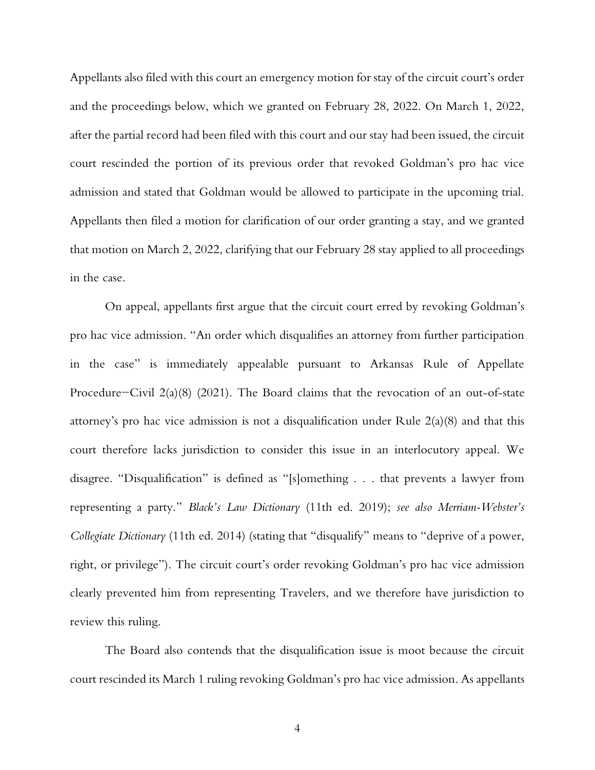Appellants also filed with this court an emergency motion for stay of the circuit court's order and the proceedings below, which we granted on February 28, 2022. On March 1, 2022, after the partial record had been filed with this court and our stay had been issued, the circuit court rescinded the portion of its previous order that revoked Goldman's pro hac vice admission and stated that Goldman would be allowed to participate in the upcoming trial. Appellants then filed a motion for clarification of our order granting a stay, and we granted that motion on March 2, 2022, clarifying that our February 28 stay applied to all proceedings in the case.

On appeal, appellants first argue that the circuit court erred by revoking Goldman's pro hac vice admission. "An order which disqualifies an attorney from further participation in the case" is immediately appealable pursuant to Arkansas Rule of Appellate Procedure−Civil 2(a)(8) (2021). The Board claims that the revocation of an out-of-state attorney's pro hac vice admission is not a disqualification under Rule 2(a)(8) and that this court therefore lacks jurisdiction to consider this issue in an interlocutory appeal. We disagree. "Disqualification" is defined as "[s]omething . . . that prevents a lawyer from representing a party." *Black's Law Dictionary* (11th ed. 2019); *see also Merriam-Webster's Collegiate Dictionary* (11th ed. 2014) (stating that "disqualify" means to "deprive of a power, right, or privilege"). The circuit court's order revoking Goldman's pro hac vice admission clearly prevented him from representing Travelers, and we therefore have jurisdiction to review this ruling.

The Board also contends that the disqualification issue is moot because the circuit court rescinded its March 1 ruling revoking Goldman's pro hac vice admission. As appellants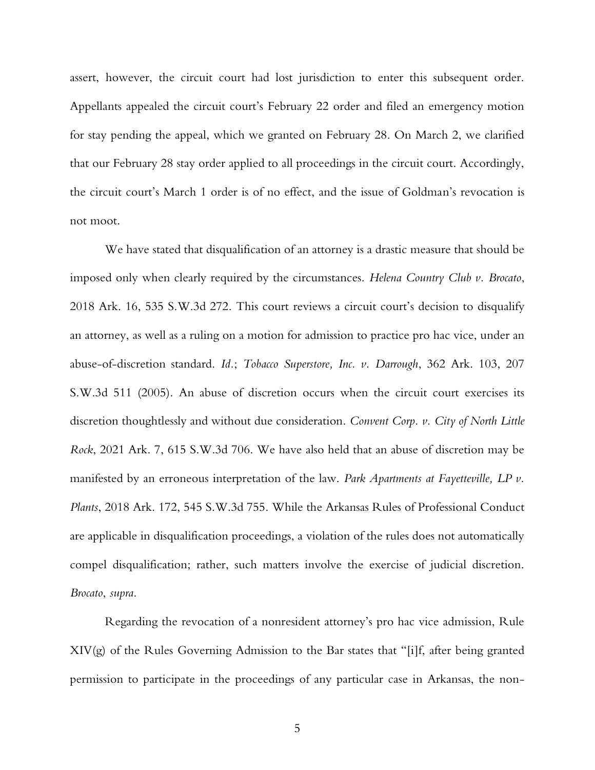assert, however, the circuit court had lost jurisdiction to enter this subsequent order. Appellants appealed the circuit court's February 22 order and filed an emergency motion for stay pending the appeal, which we granted on February 28. On March 2, we clarified that our February 28 stay order applied to all proceedings in the circuit court. Accordingly, the circuit court's March 1 order is of no effect, and the issue of Goldman's revocation is not moot.

We have stated that disqualification of an attorney is a drastic measure that should be imposed only when clearly required by the circumstances. *Helena Country Club v. Brocato*, 2018 Ark. 16, 535 S.W.3d 272. This court reviews a circuit court's decision to disqualify an attorney, as well as a ruling on a motion for admission to practice pro hac vice, under an abuse-of-discretion standard. *Id.*; *Tobacco Superstore, Inc. v. Darrough*, 362 Ark. 103, 207 S.W.3d 511 (2005). An abuse of discretion occurs when the circuit court exercises its discretion thoughtlessly and without due consideration. *Convent Corp. v. City of North Little Rock*, 2021 Ark. 7, 615 S.W.3d 706. We have also held that an abuse of discretion may be manifested by an erroneous interpretation of the law. *Park Apartments at Fayetteville, LP v. Plants*, 2018 Ark. 172, 545 S.W.3d 755. While the Arkansas Rules of Professional Conduct are applicable in disqualification proceedings, a violation of the rules does not automatically compel disqualification; rather, such matters involve the exercise of judicial discretion. *Brocato*, *supra*.

Regarding the revocation of a nonresident attorney's pro hac vice admission, Rule XIV(g) of the Rules Governing Admission to the Bar states that "[i]f, after being granted permission to participate in the proceedings of any particular case in Arkansas, the non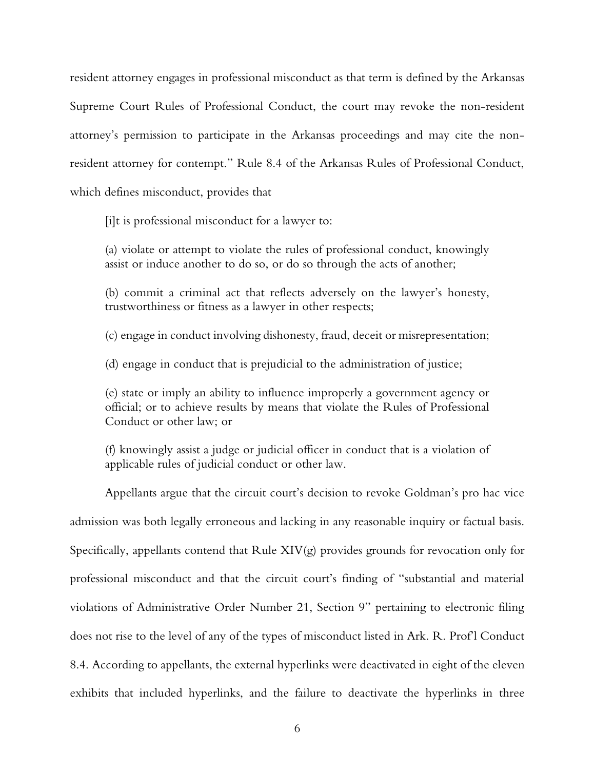resident attorney engages in professional misconduct as that term is defined by the Arkansas Supreme Court Rules of Professional Conduct, the court may revoke the non-resident attorney's permission to participate in the Arkansas proceedings and may cite the nonresident attorney for contempt." Rule 8.4 of the Arkansas Rules of Professional Conduct, which defines misconduct, provides that

[i]t is professional misconduct for a lawyer to:

(a) violate or attempt to violate the rules of professional conduct, knowingly assist or induce another to do so, or do so through the acts of another;

(b) commit a criminal act that reflects adversely on the lawyer's honesty, trustworthiness or fitness as a lawyer in other respects;

(c) engage in conduct involving dishonesty, fraud, deceit or misrepresentation;

(d) engage in conduct that is prejudicial to the administration of justice;

(e) state or imply an ability to influence improperly a government agency or official; or to achieve results by means that violate the Rules of Professional Conduct or other law; or

(f) knowingly assist a judge or judicial officer in conduct that is a violation of applicable rules of judicial conduct or other law.

Appellants argue that the circuit court's decision to revoke Goldman's pro hac vice admission was both legally erroneous and lacking in any reasonable inquiry or factual basis. Specifically, appellants contend that Rule XIV(g) provides grounds for revocation only for professional misconduct and that the circuit court's finding of "substantial and material violations of Administrative Order Number 21, Section 9" pertaining to electronic filing does not rise to the level of any of the types of misconduct listed in Ark. R. Prof'l Conduct 8.4. According to appellants, the external hyperlinks were deactivated in eight of the eleven exhibits that included hyperlinks, and the failure to deactivate the hyperlinks in three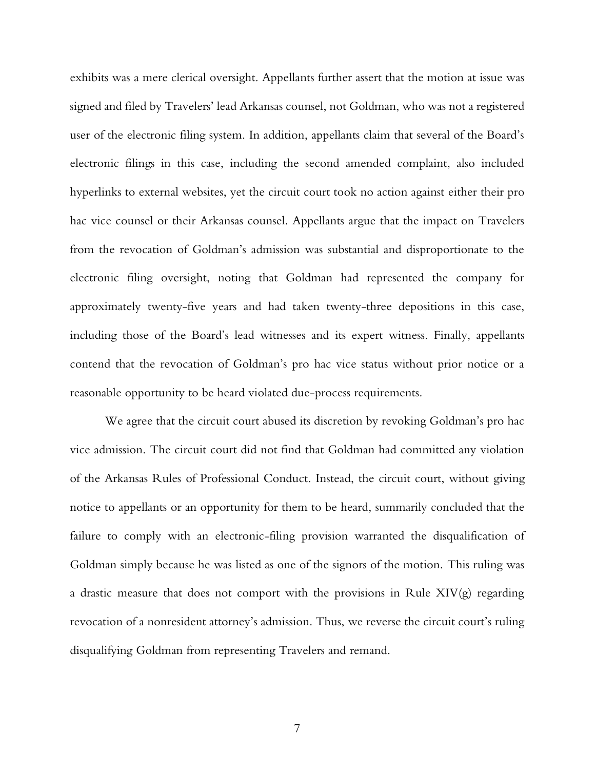exhibits was a mere clerical oversight. Appellants further assert that the motion at issue was signed and filed by Travelers' lead Arkansas counsel, not Goldman, who was not a registered user of the electronic filing system. In addition, appellants claim that several of the Board's electronic filings in this case, including the second amended complaint, also included hyperlinks to external websites, yet the circuit court took no action against either their pro hac vice counsel or their Arkansas counsel. Appellants argue that the impact on Travelers from the revocation of Goldman's admission was substantial and disproportionate to the electronic filing oversight, noting that Goldman had represented the company for approximately twenty-five years and had taken twenty-three depositions in this case, including those of the Board's lead witnesses and its expert witness. Finally, appellants contend that the revocation of Goldman's pro hac vice status without prior notice or a reasonable opportunity to be heard violated due-process requirements.

We agree that the circuit court abused its discretion by revoking Goldman's pro hac vice admission. The circuit court did not find that Goldman had committed any violation of the Arkansas Rules of Professional Conduct. Instead, the circuit court, without giving notice to appellants or an opportunity for them to be heard, summarily concluded that the failure to comply with an electronic-filing provision warranted the disqualification of Goldman simply because he was listed as one of the signors of the motion. This ruling was a drastic measure that does not comport with the provisions in Rule XIV(g) regarding revocation of a nonresident attorney's admission. Thus, we reverse the circuit court's ruling disqualifying Goldman from representing Travelers and remand.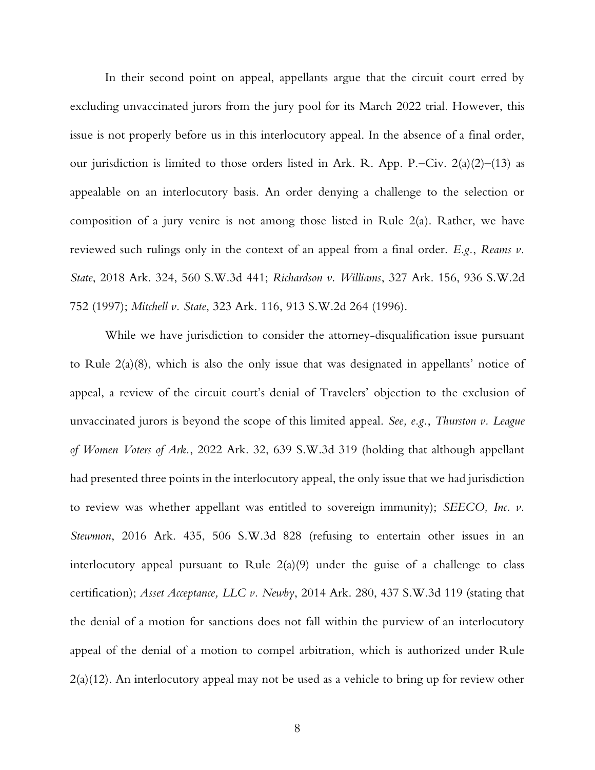In their second point on appeal, appellants argue that the circuit court erred by excluding unvaccinated jurors from the jury pool for its March 2022 trial. However, this issue is not properly before us in this interlocutory appeal. In the absence of a final order, our jurisdiction is limited to those orders listed in Ark. R. App. P.–Civ. 2(a)(2)–(13) as appealable on an interlocutory basis. An order denying a challenge to the selection or composition of a jury venire is not among those listed in Rule 2(a). Rather, we have reviewed such rulings only in the context of an appeal from a final order. *E.g.*, *Reams v. State*, 2018 Ark. 324, 560 S.W.3d 441; *Richardson v. Williams*, 327 Ark. 156, 936 S.W.2d 752 (1997); *Mitchell v. State*, 323 Ark. 116, 913 S.W.2d 264 (1996).

While we have jurisdiction to consider the attorney-disqualification issue pursuant to Rule 2(a)(8), which is also the only issue that was designated in appellants' notice of appeal, a review of the circuit court's denial of Travelers' objection to the exclusion of unvaccinated jurors is beyond the scope of this limited appeal. *See, e.g.*, *Thurston v. League of Women Voters of Ark.*, 2022 Ark. 32, 639 S.W.3d 319 (holding that although appellant had presented three points in the interlocutory appeal, the only issue that we had jurisdiction to review was whether appellant was entitled to sovereign immunity); *SEECO, Inc. v. Stewmon*, 2016 Ark. 435, 506 S.W.3d 828 (refusing to entertain other issues in an interlocutory appeal pursuant to Rule  $2(a)(9)$  under the guise of a challenge to class certification); *Asset Acceptance, LLC v. Newby*, 2014 Ark. 280, 437 S.W.3d 119 (stating that the denial of a motion for sanctions does not fall within the purview of an interlocutory appeal of the denial of a motion to compel arbitration, which is authorized under Rule 2(a)(12). An interlocutory appeal may not be used as a vehicle to bring up for review other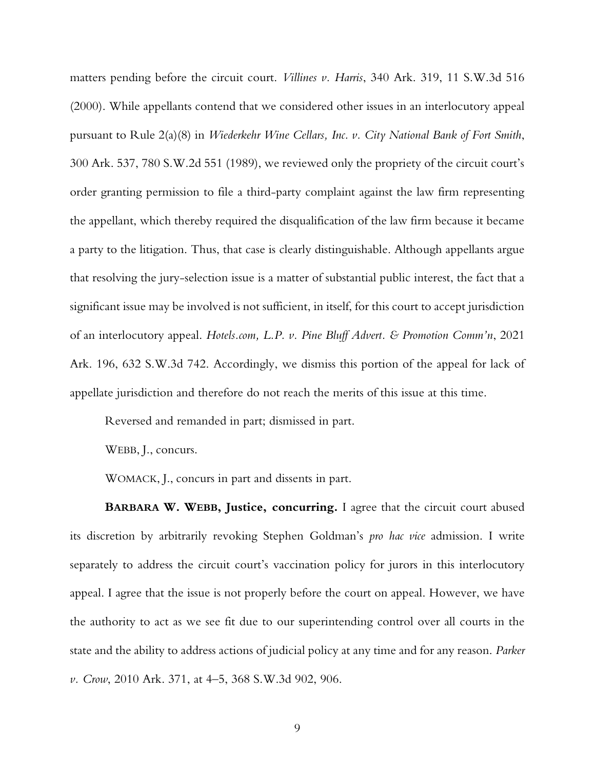matters pending before the circuit court. *Villines v. Harris*, 340 Ark. 319, 11 S.W.3d 516 (2000). While appellants contend that we considered other issues in an interlocutory appeal pursuant to Rule 2(a)(8) in *Wiederkehr Wine Cellars, Inc. v. City National Bank of Fort Smith*, 300 Ark. 537, 780 S.W.2d 551 (1989), we reviewed only the propriety of the circuit court's order granting permission to file a third-party complaint against the law firm representing the appellant, which thereby required the disqualification of the law firm because it became a party to the litigation. Thus, that case is clearly distinguishable. Although appellants argue that resolving the jury-selection issue is a matter of substantial public interest, the fact that a significant issue may be involved is not sufficient, in itself, for this court to accept jurisdiction of an interlocutory appeal. *Hotels.com, L.P. v. Pine Bluff Advert. & Promotion Comm'n*, 2021 Ark. 196, 632 S.W.3d 742. Accordingly, we dismiss this portion of the appeal for lack of appellate jurisdiction and therefore do not reach the merits of this issue at this time.

Reversed and remanded in part; dismissed in part.

WEBB, J., concurs.

WOMACK, J., concurs in part and dissents in part.

**BARBARA W. WEBB, Justice, concurring.** I agree that the circuit court abused its discretion by arbitrarily revoking Stephen Goldman's *pro hac vice* admission. I write separately to address the circuit court's vaccination policy for jurors in this interlocutory appeal. I agree that the issue is not properly before the court on appeal. However, we have the authority to act as we see fit due to our superintending control over all courts in the state and the ability to address actions of judicial policy at any time and for any reason. *Parker v. Crow*, 2010 Ark. 371, at 4–5, 368 S.W.3d 902, 906.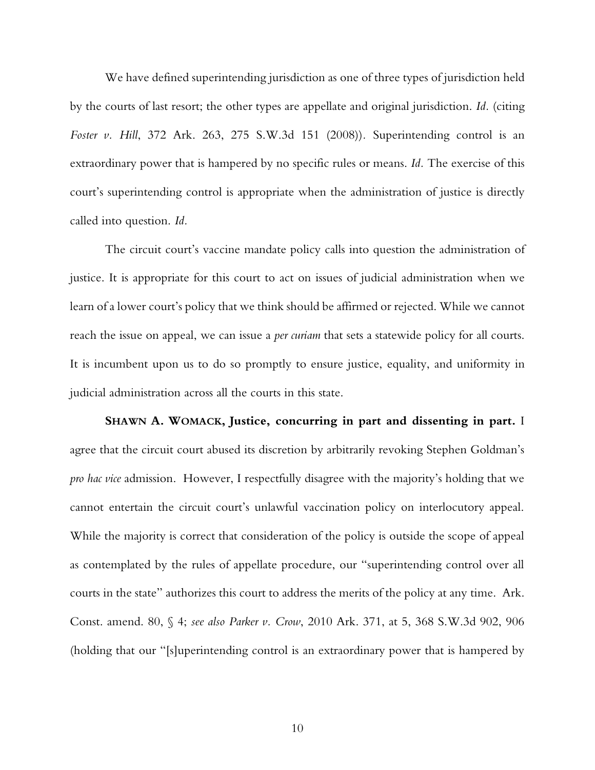We have defined superintending jurisdiction as one of three types of jurisdiction held by the courts of last resort; the other types are appellate and original jurisdiction. *Id.* (citing *Foster v. Hill*, 372 Ark. 263, 275 S.W.3d 151 (2008))*.* Superintending control is an extraordinary power that is hampered by no specific rules or means. *Id.* The exercise of this court's superintending control is appropriate when the administration of justice is directly called into question. *Id.*

The circuit court's vaccine mandate policy calls into question the administration of justice. It is appropriate for this court to act on issues of judicial administration when we learn of a lower court's policy that we think should be affirmed or rejected. While we cannot reach the issue on appeal, we can issue a *per curiam* that sets a statewide policy for all courts. It is incumbent upon us to do so promptly to ensure justice, equality, and uniformity in judicial administration across all the courts in this state.

**SHAWN A. WOMACK, Justice, concurring in part and dissenting in part.** I agree that the circuit court abused its discretion by arbitrarily revoking Stephen Goldman's *pro hac vice* admission. However, I respectfully disagree with the majority's holding that we cannot entertain the circuit court's unlawful vaccination policy on interlocutory appeal. While the majority is correct that consideration of the policy is outside the scope of appeal as contemplated by the rules of appellate procedure, our "superintending control over all courts in the state" authorizes this court to address the merits of the policy at any time. Ark. Const. amend. 80, § 4; *see also Parker v. Crow*, 2010 Ark. 371, at 5, 368 S.W.3d 902, 906 (holding that our "[s]uperintending control is an extraordinary power that is hampered by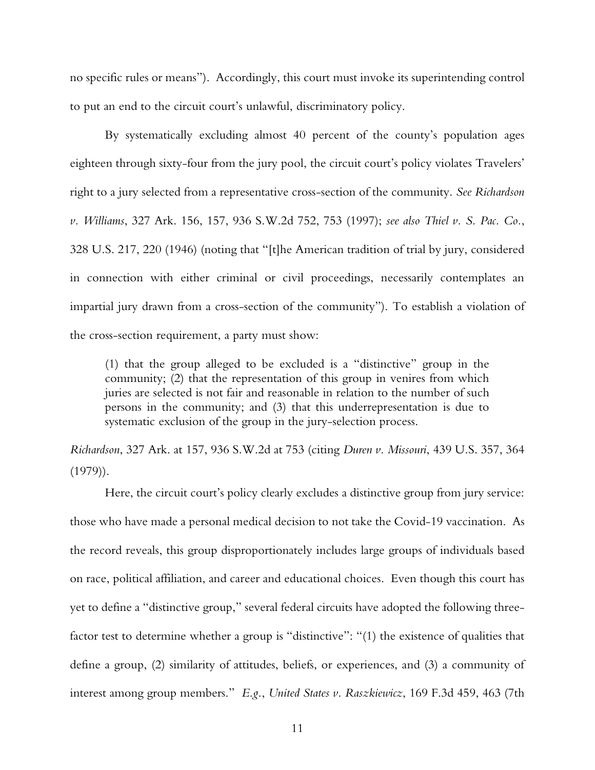no specific rules or means"). Accordingly, this court must invoke its superintending control to put an end to the circuit court's unlawful, discriminatory policy.

By systematically excluding almost 40 percent of the county's population ages eighteen through sixty-four from the jury pool, the circuit court's policy violates Travelers' right to a jury selected from a representative cross-section of the community. *See Richardson v. Williams*, 327 Ark. 156, 157, 936 S.W.2d 752, 753 (1997); *see also Thiel v. S. Pac. Co.*, 328 U.S. 217, 220 (1946) (noting that "[t]he American tradition of trial by jury, considered in connection with either criminal or civil proceedings, necessarily contemplates an impartial jury drawn from a cross-section of the community"). To establish a violation of the cross-section requirement, a party must show:

(1) that the group alleged to be excluded is a "distinctive" group in the community; (2) that the representation of this group in venires from which juries are selected is not fair and reasonable in relation to the number of such persons in the community; and (3) that this underrepresentation is due to systematic exclusion of the group in the jury-selection process.

*Richardson*, 327 Ark. at 157, 936 S.W.2d at 753 (citing *Duren v. Missouri*, 439 U.S. 357, 364  $(1979)$ .

Here, the circuit court's policy clearly excludes a distinctive group from jury service: those who have made a personal medical decision to not take the Covid-19 vaccination. As the record reveals, this group disproportionately includes large groups of individuals based on race, political affiliation, and career and educational choices. Even though this court has yet to define a "distinctive group," several federal circuits have adopted the following threefactor test to determine whether a group is "distinctive": "(1) the existence of qualities that define a group, (2) similarity of attitudes, beliefs, or experiences, and (3) a community of interest among group members." *E.g.*, *United States v. Raszkiewicz*, 169 F.3d 459, 463 (7th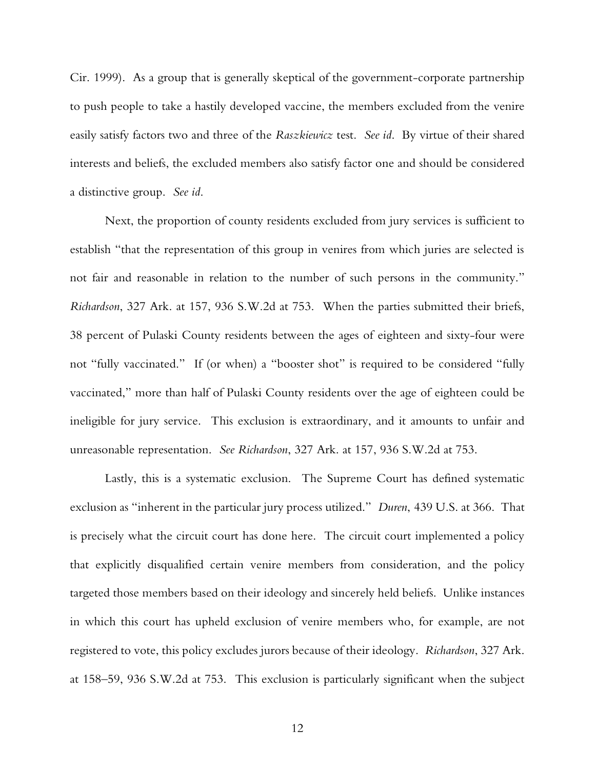Cir. 1999). As a group that is generally skeptical of the government-corporate partnership to push people to take a hastily developed vaccine, the members excluded from the venire easily satisfy factors two and three of the *Raszkiewicz* test. *See id*. By virtue of their shared interests and beliefs, the excluded members also satisfy factor one and should be considered a distinctive group. *See id*.

Next, the proportion of county residents excluded from jury services is sufficient to establish "that the representation of this group in venires from which juries are selected is not fair and reasonable in relation to the number of such persons in the community." *Richardson*, 327 Ark. at 157, 936 S.W.2d at 753. When the parties submitted their briefs, 38 percent of Pulaski County residents between the ages of eighteen and sixty-four were not "fully vaccinated." If (or when) a "booster shot" is required to be considered "fully vaccinated," more than half of Pulaski County residents over the age of eighteen could be ineligible for jury service. This exclusion is extraordinary, and it amounts to unfair and unreasonable representation. *See Richardson*, 327 Ark. at 157, 936 S.W.2d at 753.

Lastly, this is a systematic exclusion. The Supreme Court has defined systematic exclusion as "inherent in the particular jury process utilized." *Duren*, 439 U.S. at 366. That is precisely what the circuit court has done here. The circuit court implemented a policy that explicitly disqualified certain venire members from consideration, and the policy targeted those members based on their ideology and sincerely held beliefs. Unlike instances in which this court has upheld exclusion of venire members who, for example, are not registered to vote, this policy excludes jurors because of their ideology. *Richardson*, 327 Ark. at 158–59, 936 S.W.2d at 753. This exclusion is particularly significant when the subject